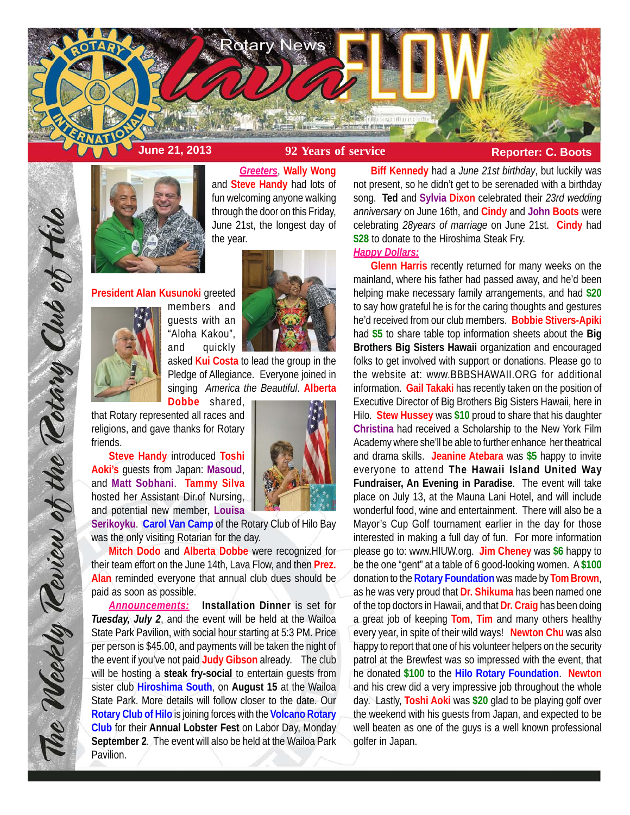



*Greeters*, **Wally Wong** and **Steve Handy** had lots of fun welcoming anyone walking through the door on this Friday, June 21st, the longest day of the year.

**President Alan Kusunoki** greeted



members and guests with an "Aloha Kakou", and quickly



asked **Kui Costa** to lead the group in the Pledge of Allegiance. Everyone joined in singing *America the Beautiful*. **Alberta Dobbe** shared,

that Rotary represented all races and religions, and gave thanks for Rotary friends.

**Steve Handy** introduced **Toshi Aoki's** guests from Japan: **Masoud**, and **Matt Sobhani**. **Tammy Silva** hosted her Assistant Dir.of Nursing, and potential new member, **Louisa**

**Serikoyku**. **Carol Van Camp** of the Rotary Club of Hilo Bay was the only visiting Rotarian for the day.

**Mitch Dodo** and **Alberta Dobbe** were recognized for their team effort on the June 14th, Lava Flow, and then **Prez. Alan** reminded everyone that annual club dues should be paid as soon as possible.

*Announcements:* **Installation Dinner** is set for *Tuesday, July 2*, and the event will be held at the Wailoa State Park Pavilion, with social hour starting at 5:3 PM. Price per person is \$45.00, and payments will be taken the night of the event if you've not paid **Judy Gibson** already. The club will be hosting a **steak fry-social** to entertain guests from sister club **Hiroshima South**, on **August 15** at the Wailoa State Park. More details will follow closer to the date. Our **Rotary Club of Hilo** is joining forces with the **Volcano Rotary Club** for their **Annual Lobster Fest** on Labor Day, Monday **September 2**. The event will also be held at the Wailoa Park Pavilion.

**Biff Kennedy** had a *June 21st birthday*, but luckily was not present, so he didn't get to be serenaded with a birthday song. **Ted** and **Sylvia Dixon** celebrated their *23rd wedding anniversary* on June 16th, and **Cindy** and **John Boots** were celebrating *28years of marriage* on June 21st. **Cindy** had **\$28** to donate to the Hiroshima Steak Fry.

# *Happy Dollars:*

**Glenn Harris** recently returned for many weeks on the mainland, where his father had passed away, and he'd been helping make necessary family arrangements, and had **\$20** to say how grateful he is for the caring thoughts and gestures he'd received from our club members. **Bobbie Stivers-Apiki** had **\$5** to share table top information sheets about the **Big Brothers Big Sisters Hawaii** organization and encouraged folks to get involved with support or donations. Please go to the website at: www.BBBSHAWAII.ORG for additional information. **Gail Takaki** has recently taken on the position of Executive Director of Big Brothers Big Sisters Hawaii, here in Hilo. **Stew Hussey** was **\$10** proud to share that his daughter **Christina** had received a Scholarship to the New York Film Academy where she'll be able to further enhance her theatrical and drama skills. **Jeanine Atebara** was **\$5** happy to invite everyone to attend **The Hawaii Island United Way Fundraiser, An Evening in Paradise**. The event will take place on July 13, at the Mauna Lani Hotel, and will include wonderful food, wine and entertainment. There will also be a Mayor's Cup Golf tournament earlier in the day for those interested in making a full day of fun. For more information please go to: www.HIUW.org. **Jim Cheney** was **\$6** happy to be the one "gent" at a table of 6 good-looking women. A **\$100** donation to the **Rotary Foundation** was made by **Tom Brown**, as he was very proud that **Dr. Shikuma** has been named one of the top doctors in Hawaii, and that **Dr. Craig** has been doing a great job of keeping **Tom**, **Tim** and many others healthy every year, in spite of their wild ways! **Newton Chu** was also happy to report that one of his volunteer helpers on the security patrol at the Brewfest was so impressed with the event, that he donated **\$100** to the **Hilo Rotary Foundation**. **Newton** and his crew did a very impressive job throughout the whole day. Lastly, **Toshi Aoki** was **\$20** glad to be playing golf over the weekend with his guests from Japan, and expected to be well beaten as one of the guys is a well known professional golfer in Japan.